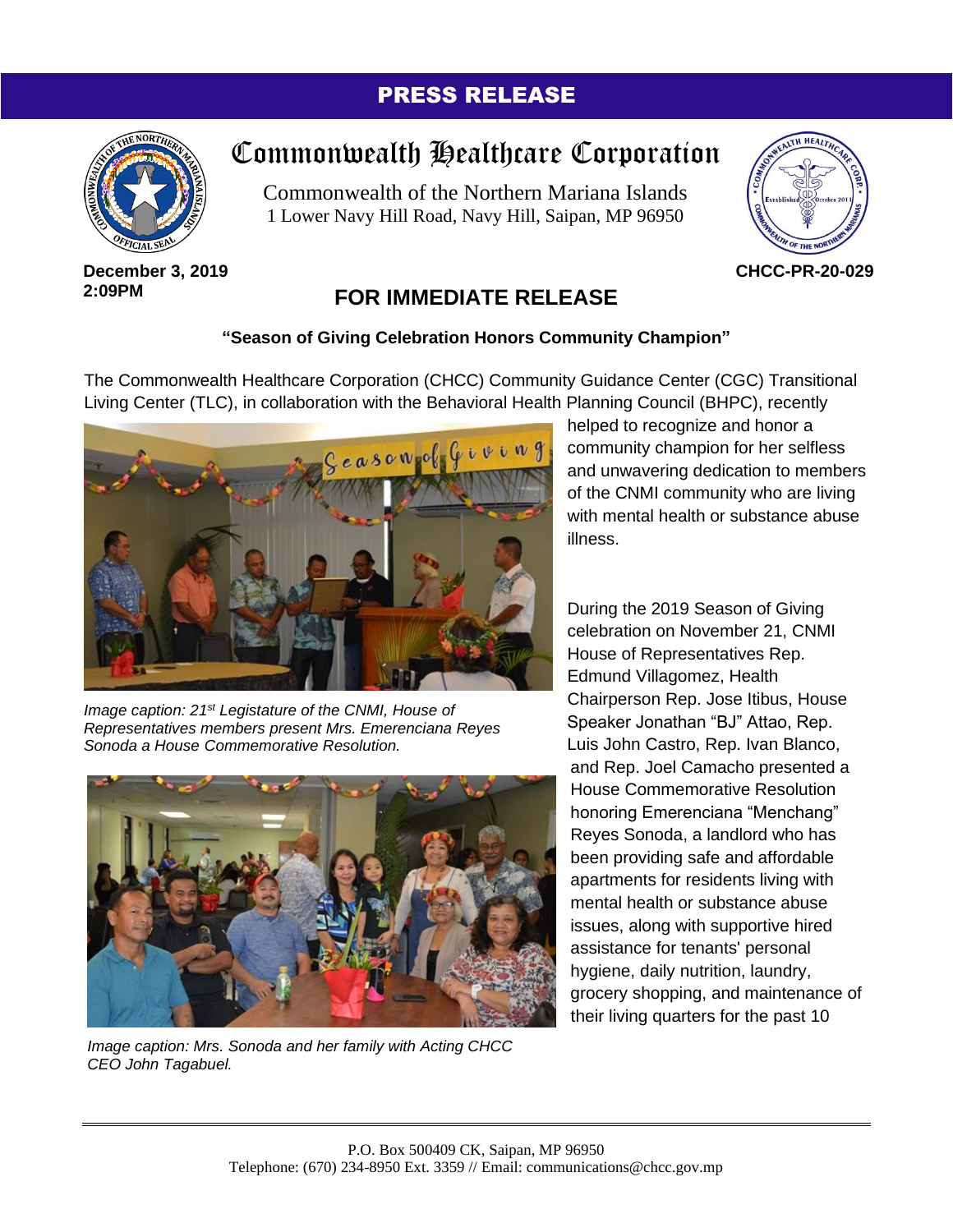### PRESS RELEASE



# Commonwealth Healthcare Corporation

Commonwealth of the Northern Mariana Islands 1 Lower Navy Hill Road, Navy Hill, Saipan, MP 96950



**December 3, 2019 2:09PM**

## **FOR IMMEDIATE RELEASE**

#### **"Season of Giving Celebration Honors Community Champion"**

The Commonwealth Healthcare Corporation (CHCC) Community Guidance Center (CGC) Transitional Living Center (TLC), in collaboration with the Behavioral Health Planning Council (BHPC), recently



*Image caption: 21st Legistature of the CNMI, House of Representatives members present Mrs. Emerenciana Reyes Sonoda a House Commemorative Resolution.*



*Image caption: Mrs. Sonoda and her family with Acting CHCC CEO John Tagabuel.*

helped to recognize and honor a community champion for her selfless and unwavering dedication to members of the CNMI community who are living with mental health or substance abuse illness.

During the 2019 Season of Giving celebration on November 21, CNMI House of Representatives Rep. Edmund Villagomez, Health Chairperson Rep. Jose Itibus, House Speaker Jonathan "BJ" Attao, Rep. Luis John Castro, Rep. Ivan Blanco, and Rep. Joel Camacho presented a House Commemorative Resolution honoring Emerenciana "Menchang" Reyes Sonoda, a landlord who has been providing safe and affordable apartments for residents living with mental health or substance abuse issues, along with supportive hired assistance for tenants' personal hygiene, daily nutrition, laundry, grocery shopping, and maintenance of their living quarters for the past 10